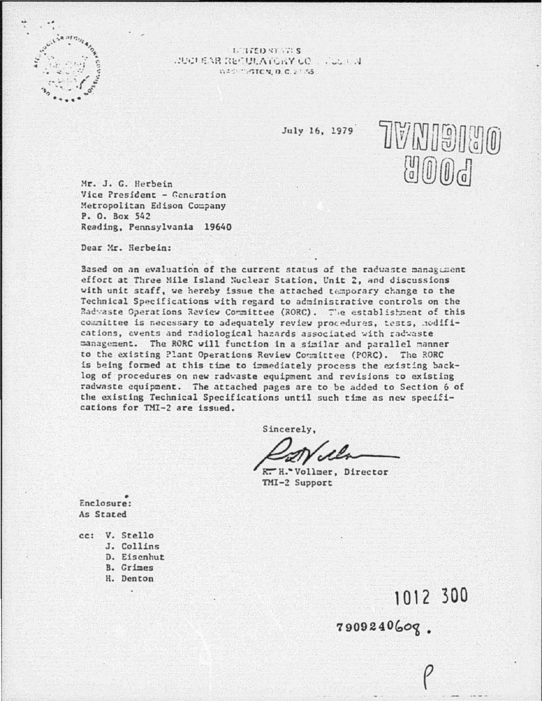

L'IFED SYNCS **JUCLEAR RECULATORY CO.,**  $V_1 + V_2 + V_3$ WASHINGTON D.C.2155

July 16, 1979

TVNI9IJO  $\binom{[n]}{[n]}$   $\binom{[n]}{[n]}$ 

1012 300

7909240609.

Mr. J. G. Herbein Vice President - Generation Metropolitan Edison Company P. O. Box 542 Reading, Pennsylvania 19640

Dear Mr. Herbein:

Based on an evaluation of the current status of the raduaste management effort at Three Mile Island Nuclear Station, Unit 2, and discussions with unit staff, we hereby issue the attached temporary change to the Technical Specifications with regard to administrative controls on the Radwaste Operations Raview Committee (RORC). The establishment of this committee is necessary to adequately review procedures, tests, hodifications, events and radiological hazards associated with radwaste management. The RORC will function in a similar and parallel manner to the existing Plant Operations Review Committee (PORC). The RORC is being formed at this time to immediately process the existing backlog of procedures on new radwaste equipment and revisions to existing radwaste equipment. The attached pages are to be added to Section 6 of the existing Technical Specifications until such time as new specifications for TMI-2 are issued.

Sincerely,

R. H. Vollmer, Director TMI-2 Support

Enclosure: As Stated

cc: V. Stello J. Collins D. Eisenhut B. Grimes H. Denton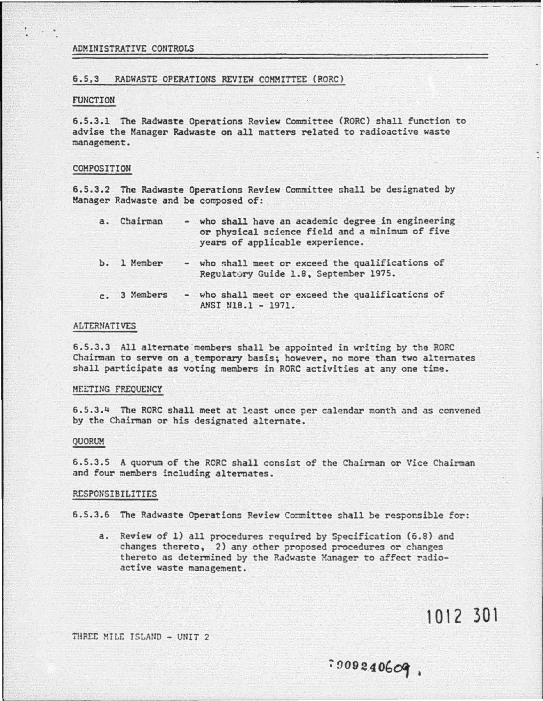# ADMINISTRATIVE CONTROLS

# 6.5.3 RADWASTE OPERATIONS REVIEW COMMITTEE (RORC)

### **FUNCTION**

6.5.3.1 The Radwaste Operations Review Committee (RORC) shall function to advise the Manager Radwaste on all matters related to radioactive waste management.

#### COMPOSITION

6.5.3.2 The Radwaste Operations Review Committee shall be designated by Manager Radwaste and be composed of:

| a. Chairman  | - who shall have an academic degree in engineering<br>or physical science field and a minimum of five<br>years of applicable experience. |
|--------------|------------------------------------------------------------------------------------------------------------------------------------------|
| b. 1 Member  | - who shall meet or exceed the qualifications of<br>Regulatory Guide 1.8, September 1975.                                                |
| c. 3 Members | - who shall meet or exceed the qualifications of<br>ANST MIR.1 - 1971.                                                                   |

# **ALTERNATIVES**

6.5.3.3 All alternate members shall be appointed in writing by the RORC Chairman to serve on a temporary basis; however, no more than two alternates shall participate as voting members in RORC activities at any one time.

### MEETING FREQUENCY

6.5.3.4 The RORC shall meet at least once per calendar month and as convened by the Chairman or his designated alternate.

### QUORUM

6.5.3.5 A quorum of the RORC shall consist of the Chairman or Vice Chairman and four members including alternates.

# **RESPONSIBILITIES**

6.5.3.6 The Radwaste Operations Review Committee shall be responsible for:

a. Review of 1) all procedures required by Specification (6.8) and changes thereto, 2) any other proposed procedures or changes thereto as determined by the Radwaste Manager to affect radioactive waste management.

1012 301

.009240609.

THREE MILE ISLAND - UNIT 2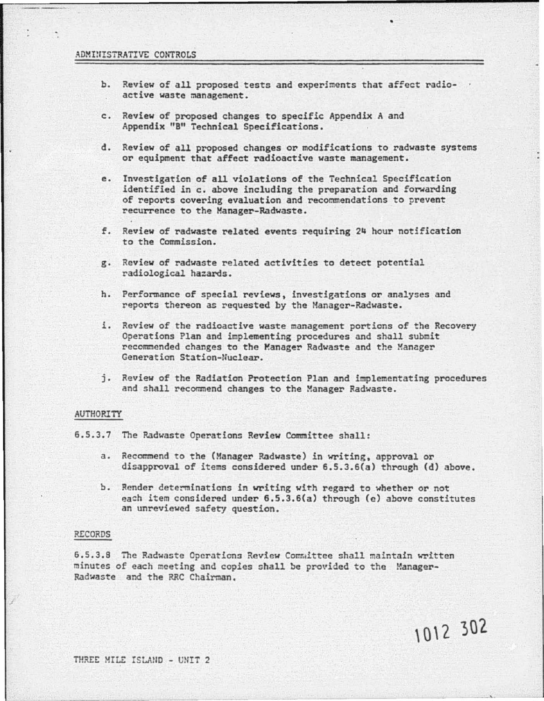# ADMINISTRATIVE CONTROLS

- b. Review of all proposed tests and experiments that affect radioactive waste management.
- c. Review of proposed changes to specific Appendix A and Appendix "B" Technical Specifications.
- d. Review of all proposed changes or modifications to radwaste systems or equipment that affect radioactive waste management.
- e. Investigation of all violations of the Technical Specification identified in c. above including the preparation and forwarding of reports covering evaluation and recommendations to prevent recurrence to the Manager-Radwaste.
- f. Review of radwaste related events requiring 24 hour notification to the Commission.
- g. Review of radwaste related activities to detect potential radiological hazards.
- h. Performance of special reviews, investigations or analyses and reports thereon as requested by the Manager-Radwaste.
- i. Review of the radioactive waste management portions of the Recovery Operations Plan and implementing procedures and shall submit recommended changes to the Manager Radwaste and the Manager Generation Station-lluclear.
- j. Review of the Radiation Protection Plan and implementating procedures and shall recommend changes to the Manager Radwaste.

### AUTHORITY

6.5.3.7 The Radwaste Operations Review Committee shall:

- a. Recommend to the (Manager Radwaste) in writing, approval or disapproval of items considered under 6.5.3.6(a) through (d) above.
- b. Render determinations in writing with regard to whether or not each item considered under 6.5.3.6(a) through (e) above constitutes an unreviewed safety question.

1012 302

### RECORDS

6.5.3.9 The Radwaste Operations Review Comr.1ittee shall maintain written minutes of each meeting and copies shall be provided to the Manager-Radwaste and the RRC Chairman.

THREE MILE ISLAND - UNIT 2